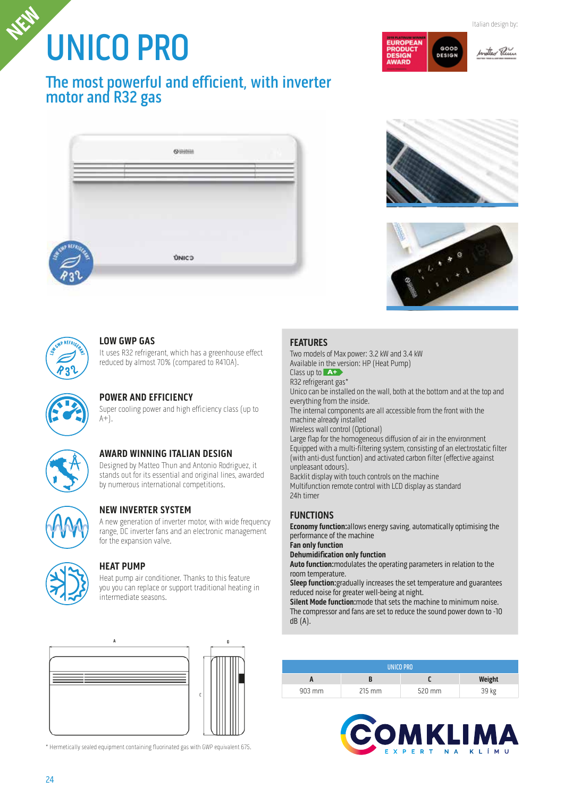# UNICO PRO **Italian design by: Italian design by: Italian design by:**



# The most powerful and efficient, with inverter motor and R32 gas





GOOD **DESIG** 





#### **LOW GWP GAS**

It uses R32 refrigerant, which has a greenhouse effect reduced by almost 70% (compared to R410A).



# **POWER AND EFFICIENCY**

Super cooling power and high efficiency class (up to  $A+$ ).



# **AWARD WINNING ITALIAN DESIGN**

Designed by Matteo Thun and Antonio Rodriguez, it stands out for its essential and original lines, awarded by numerous international competitions.



#### **NEW INVERTER SYSTEM**

A new generation of inverter motor, with wide frequency range, DC inverter fans and an electronic management for the expansion valve.



#### **HEAT PUMP**

Heat pump air conditioner. Thanks to this feature you you can replace or support traditional heating in intermediate seasons.





#### **FEATURES**

Two models of Max power: 3.2 kW and 3.4 kW Available in the version: HP (Heat Pump) Class up to **A+** R32 refrigerant gas\* Unico can be installed on the wall, both at the bottom and at the top and everything from the inside. The internal components are all accessible from the front with the machine already installed Wireless wall control (Optional) Large flap for the homogeneous diffusion of air in the environment Equipped with a multi-filtering system, consisting of an electrostatic filter (with anti-dust function) and activated carbon filter (effective against unpleasant odours). Backlit display with touch controls on the machine Multifunction remote control with LCD display as standard 24h timer

#### **FUNCTIONS**

**Economy function:**allows energy saving, automatically optimising the performance of the machine

### **Fan only function**

**Dehumidification only function**

**Auto function:**modulates the operating parameters in relation to the room temperature.

**Sleep function:**gradually increases the set temperature and guarantees reduced noise for greater well-being at night.

**Silent Mode function:**mode that sets the machine to minimum noise. The compressor and fans are set to reduce the sound power down to -10 dB (A).

| UNICO PRO |          |        |        |  |  |  |
|-----------|----------|--------|--------|--|--|--|
|           |          |        | Weight |  |  |  |
| 903 mm    | $215$ mm | 520 mm | 39 kg  |  |  |  |